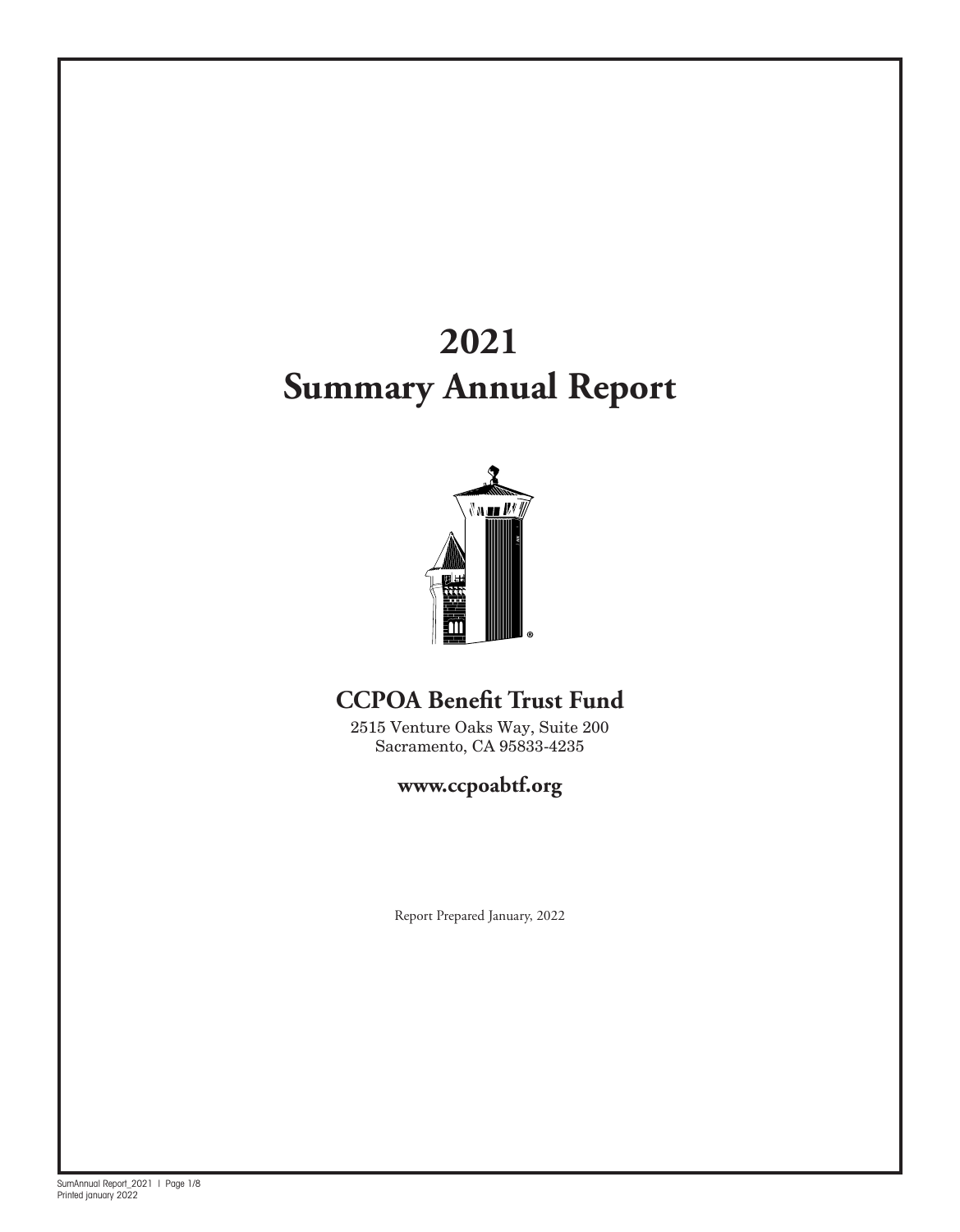# **2021 Summary Annual Report**



## **CCPOA Benefit Trust Fund**

2515 Venture Oaks Way, Suite 200 Sacramento, CA 95833-4235

## **www.ccpoabtf.org**

Report Prepared January, 2022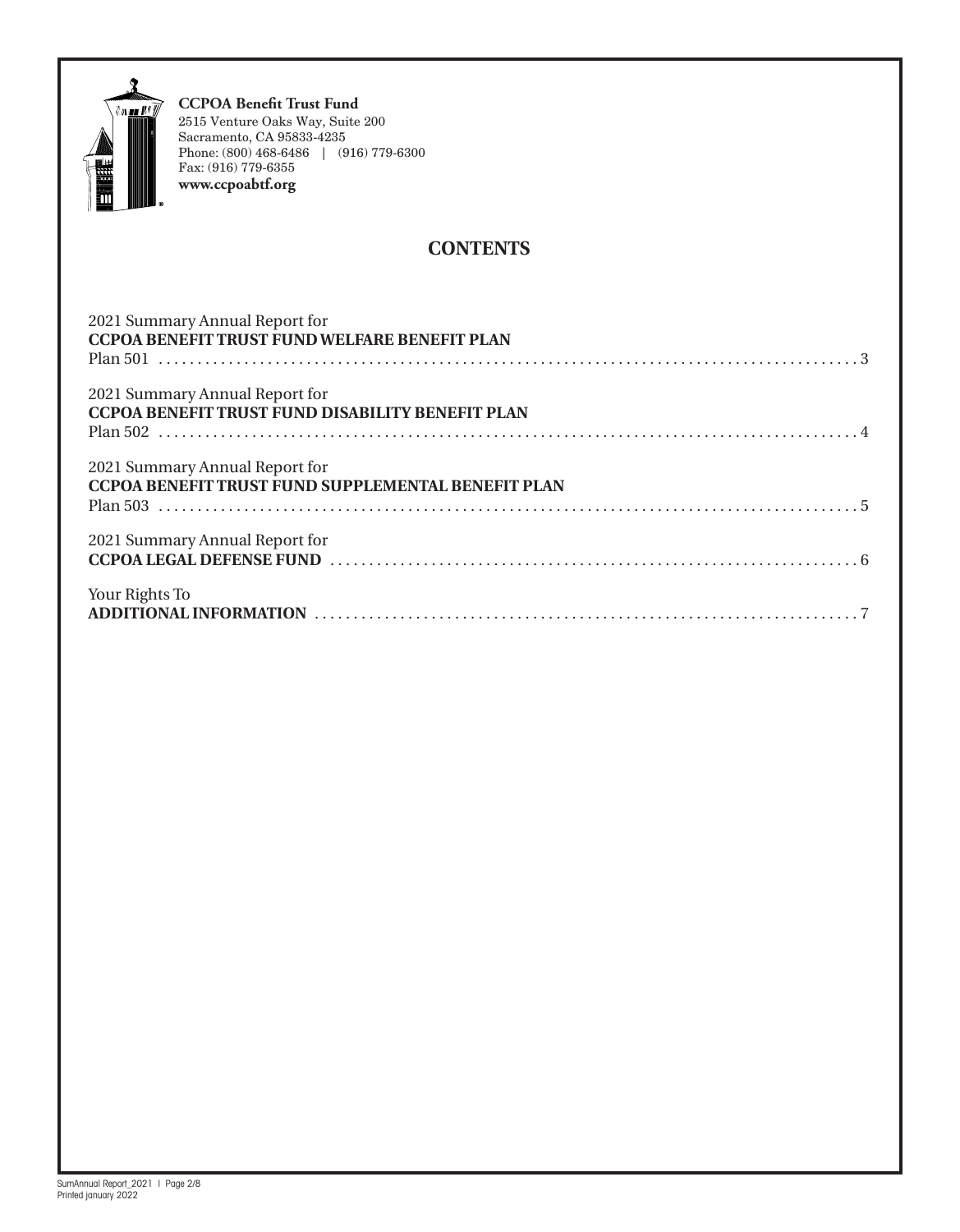

### **CONTENTS**

| 2021 Summary Annual Report for<br><b>CCPOA BENEFIT TRUST FUND WELFARE BENEFIT PLAN</b>    |
|-------------------------------------------------------------------------------------------|
| 2021 Summary Annual Report for<br><b>CCPOA BENEFIT TRUST FUND DISABILITY BENEFIT PLAN</b> |
| 2021 Summary Annual Report for<br>CCPOA BENEFIT TRUST FUND SUPPLEMENTAL BENEFIT PLAN      |
| 2021 Summary Annual Report for                                                            |
| Your Rights To                                                                            |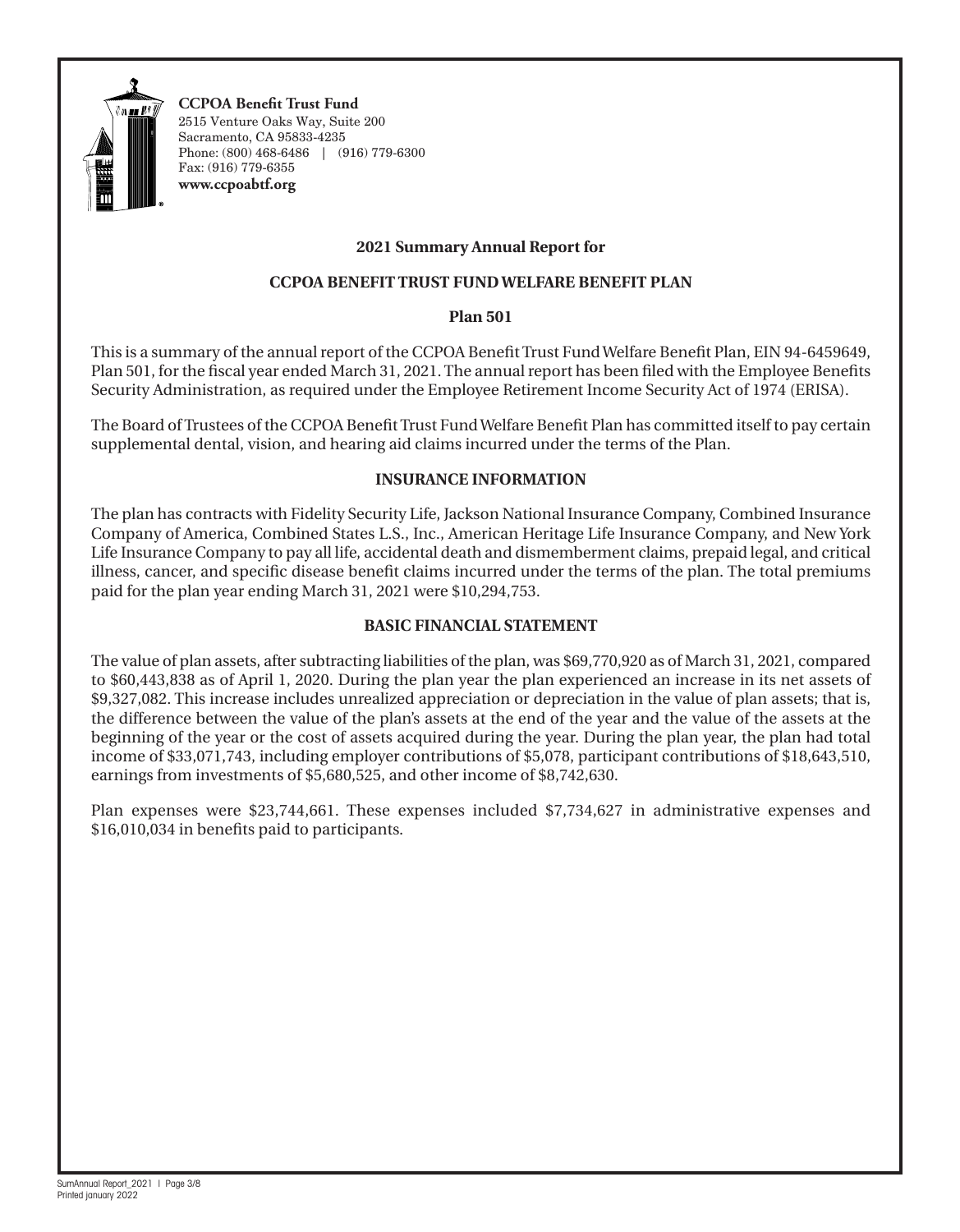

#### **2021 Summary Annual Report for**

#### **CCPOA BENEFIT TRUST FUND WELFARE BENEFIT PLAN**

#### **Plan 501**

This is a summary of the annual report of the CCPOA Benefit Trust Fund Welfare Benefit Plan, EIN 94-6459649, Plan 501, for the fiscal year ended March 31, 2021. The annual report has been filed with the Employee Benefits Security Administration, as required under the Employee Retirement Income Security Act of 1974 (ERISA).

The Board of Trustees of the CCPOA Benefit Trust Fund Welfare Benefit Plan has committed itself to pay certain supplemental dental, vision, and hearing aid claims incurred under the terms of the Plan.

#### **INSURANCE INFORMATION**

The plan has contracts with Fidelity Security Life, Jackson National Insurance Company, Combined Insurance Company of America, Combined States L.S., Inc., American Heritage Life Insurance Company, and New York Life Insurance Company to pay all life, accidental death and dismemberment claims, prepaid legal, and critical illness, cancer, and specific disease benefit claims incurred under the terms of the plan. The total premiums paid for the plan year ending March 31, 2021 were \$10,294,753.

#### **BASIC FINANCIAL STATEMENT**

The value of plan assets, after subtracting liabilities of the plan, was \$69,770,920 as of March 31, 2021, compared to \$60,443,838 as of April 1, 2020. During the plan year the plan experienced an increase in its net assets of \$9,327,082. This increase includes unrealized appreciation or depreciation in the value of plan assets; that is, the difference between the value of the plan's assets at the end of the year and the value of the assets at the beginning of the year or the cost of assets acquired during the year. During the plan year, the plan had total income of \$33,071,743, including employer contributions of \$5,078, participant contributions of \$18,643,510, earnings from investments of \$5,680,525, and other income of \$8,742,630.

Plan expenses were \$23,744,661. These expenses included \$7,734,627 in administrative expenses and \$16,010,034 in benefits paid to participants.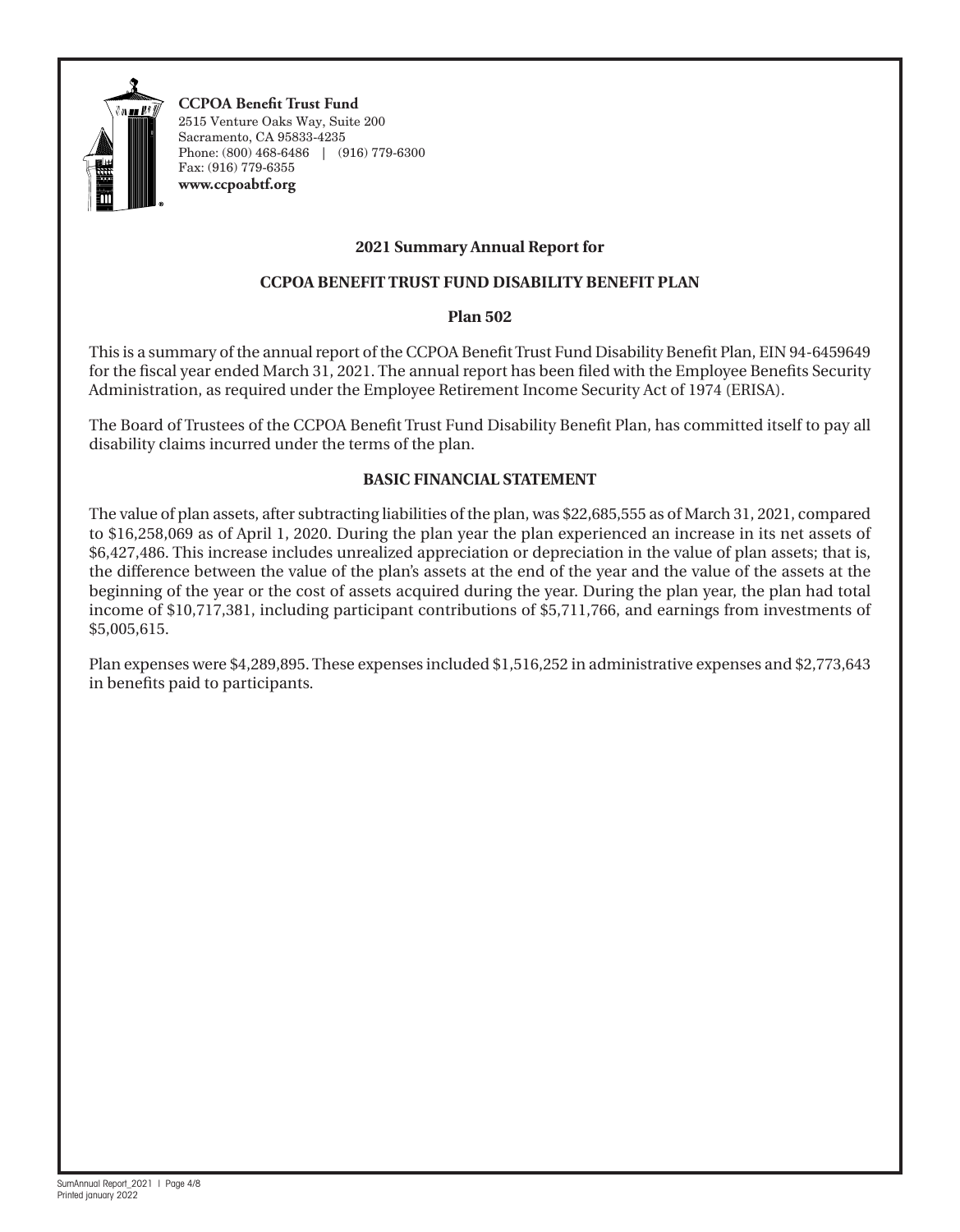

#### **2021 Summary Annual Report for**

#### **CCPOA BENEFIT TRUST FUND DISABILITY BENEFIT PLAN**

#### **Plan 502**

This is a summary of the annual report of the CCPOA Benefit Trust Fund Disability Benefit Plan, EIN 94-6459649 for the fiscal year ended March 31, 2021. The annual report has been filed with the Employee Benefits Security Administration, as required under the Employee Retirement Income Security Act of 1974 (ERISA).

The Board of Trustees of the CCPOA Benefit Trust Fund Disability Benefit Plan, has committed itself to pay all disability claims incurred under the terms of the plan.

#### **BASIC FINANCIAL STATEMENT**

The value of plan assets, after subtracting liabilities of the plan, was \$22,685,555 as of March 31, 2021, compared to \$16,258,069 as of April 1, 2020. During the plan year the plan experienced an increase in its net assets of \$6,427,486. This increase includes unrealized appreciation or depreciation in the value of plan assets; that is, the difference between the value of the plan's assets at the end of the year and the value of the assets at the beginning of the year or the cost of assets acquired during the year. During the plan year, the plan had total income of \$10,717,381, including participant contributions of \$5,711,766, and earnings from investments of \$5,005,615.

Plan expenses were \$4,289,895. These expenses included \$1,516,252 in administrative expenses and \$2,773,643 in benefits paid to participants.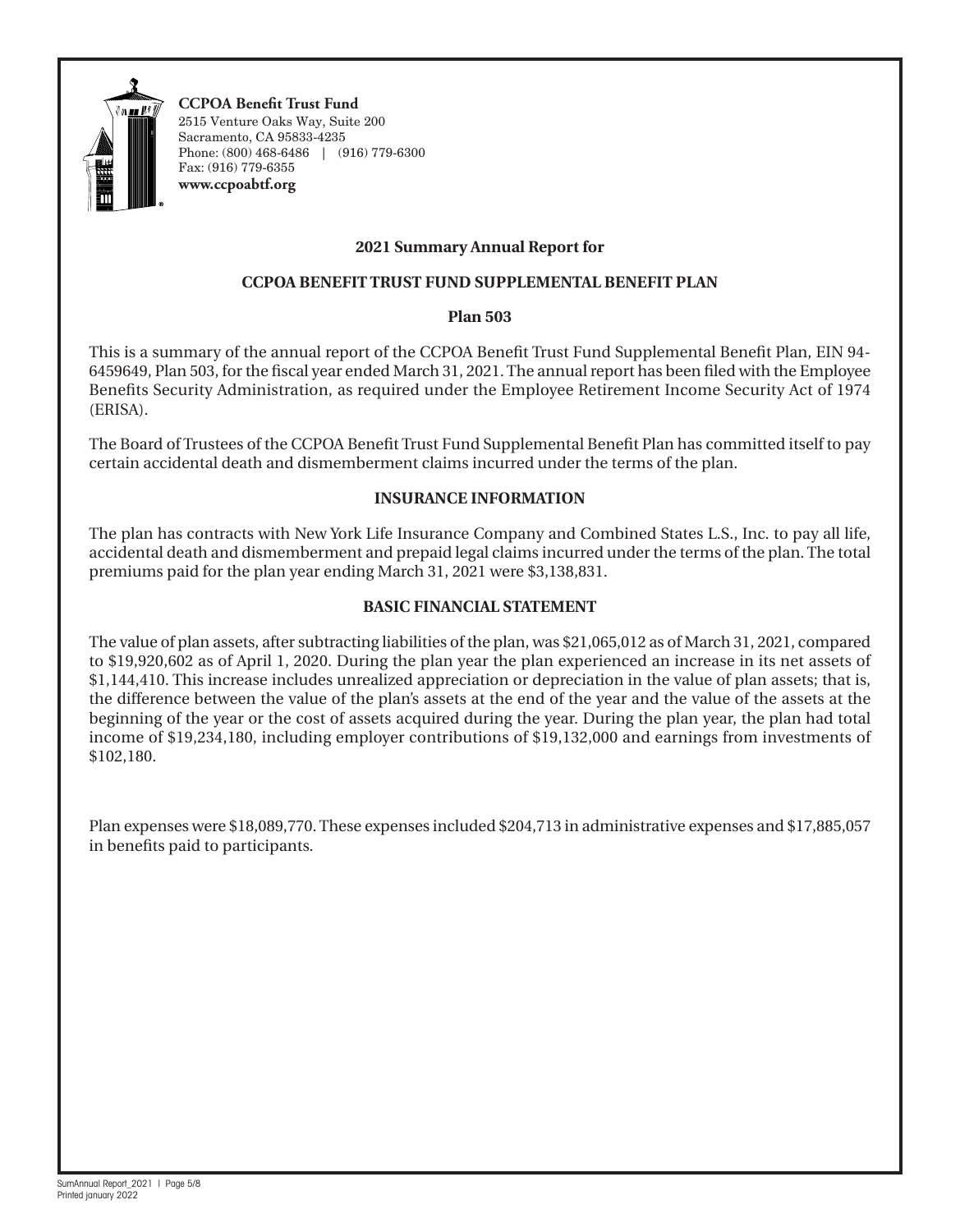

#### **2021 Summary Annual Report for**

#### **CCPOA BENEFIT TRUST FUND SUPPLEMENTAL BENEFIT PLAN**

#### **Plan 503**

This is a summary of the annual report of the CCPOA Benefit Trust Fund Supplemental Benefit Plan, EIN 94- 6459649, Plan 503, for the fiscal year ended March 31, 2021. The annual report has been filed with the Employee Benefits Security Administration, as required under the Employee Retirement Income Security Act of 1974 (ERISA).

The Board of Trustees of the CCPOA Benefit Trust Fund Supplemental Benefit Plan has committed itself to pay certain accidental death and dismemberment claims incurred under the terms of the plan.

#### **INSURANCE INFORMATION**

The plan has contracts with New York Life Insurance Company and Combined States L.S., Inc. to pay all life, accidental death and dismemberment and prepaid legal claims incurred under the terms of the plan. The total premiums paid for the plan year ending March 31, 2021 were \$3,138,831.

#### **BASIC FINANCIAL STATEMENT**

The value of plan assets, after subtracting liabilities of the plan, was \$21,065,012 as of March 31, 2021, compared to \$19,920,602 as of April 1, 2020. During the plan year the plan experienced an increase in its net assets of \$1,144,410. This increase includes unrealized appreciation or depreciation in the value of plan assets; that is, the difference between the value of the plan's assets at the end of the year and the value of the assets at the beginning of the year or the cost of assets acquired during the year. During the plan year, the plan had total income of \$19,234,180, including employer contributions of \$19,132,000 and earnings from investments of \$102,180.

Plan expenses were \$18,089,770. These expenses included \$204,713 in administrative expenses and \$17,885,057 in benefits paid to participants.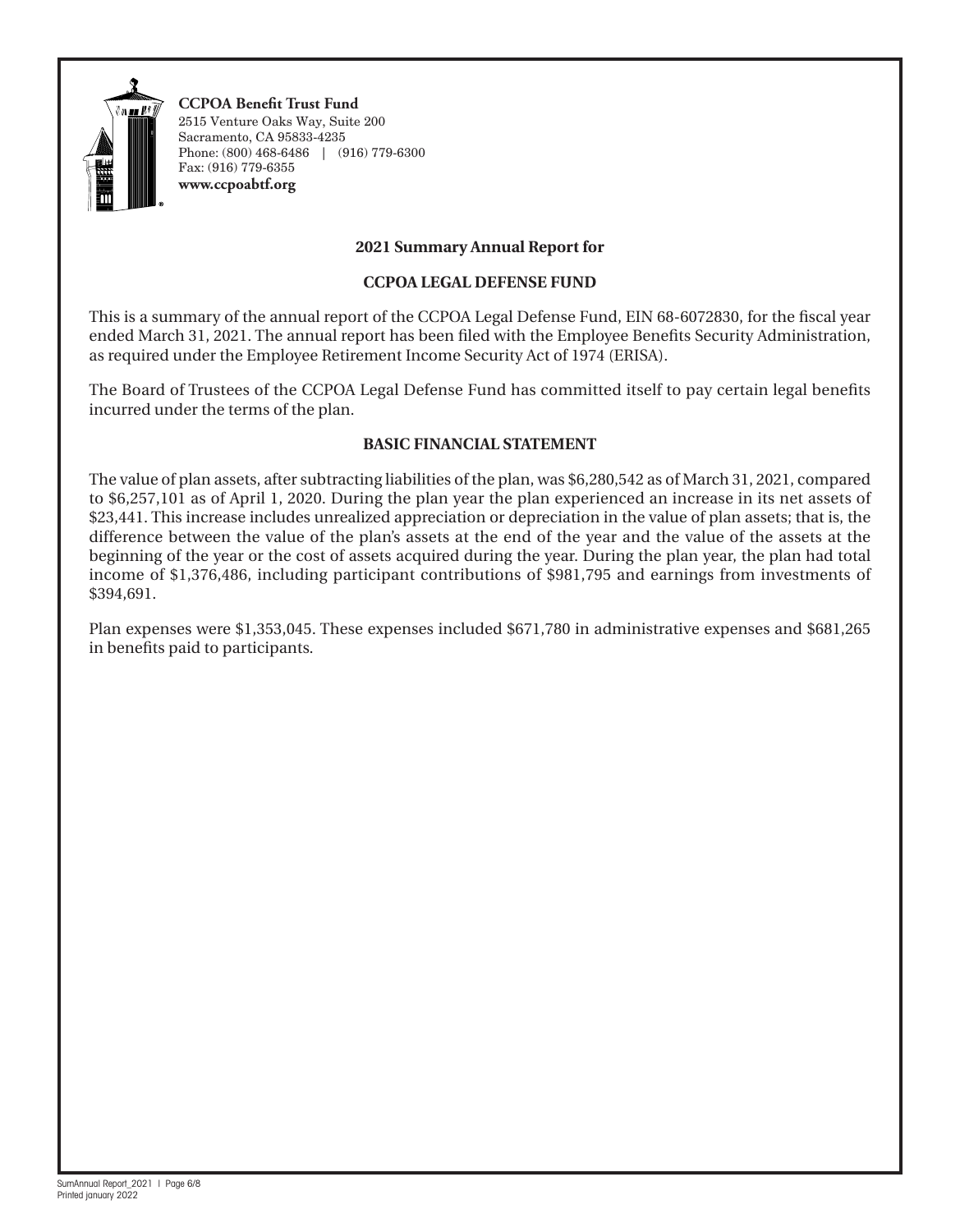

#### **2021 Summary Annual Report for**

#### **CCPOA LEGAL DEFENSE FUND**

This is a summary of the annual report of the CCPOA Legal Defense Fund, EIN 68-6072830, for the fiscal year ended March 31, 2021. The annual report has been filed with the Employee Benefits Security Administration, as required under the Employee Retirement Income Security Act of 1974 (ERISA).

The Board of Trustees of the CCPOA Legal Defense Fund has committed itself to pay certain legal benefits incurred under the terms of the plan.

#### **BASIC FINANCIAL STATEMENT**

The value of plan assets, after subtracting liabilities of the plan, was \$6,280,542 as of March 31, 2021, compared to \$6,257,101 as of April 1, 2020. During the plan year the plan experienced an increase in its net assets of \$23,441. This increase includes unrealized appreciation or depreciation in the value of plan assets; that is, the difference between the value of the plan's assets at the end of the year and the value of the assets at the beginning of the year or the cost of assets acquired during the year. During the plan year, the plan had total income of \$1,376,486, including participant contributions of \$981,795 and earnings from investments of \$394,691.

Plan expenses were \$1,353,045. These expenses included \$671,780 in administrative expenses and \$681,265 in benefits paid to participants.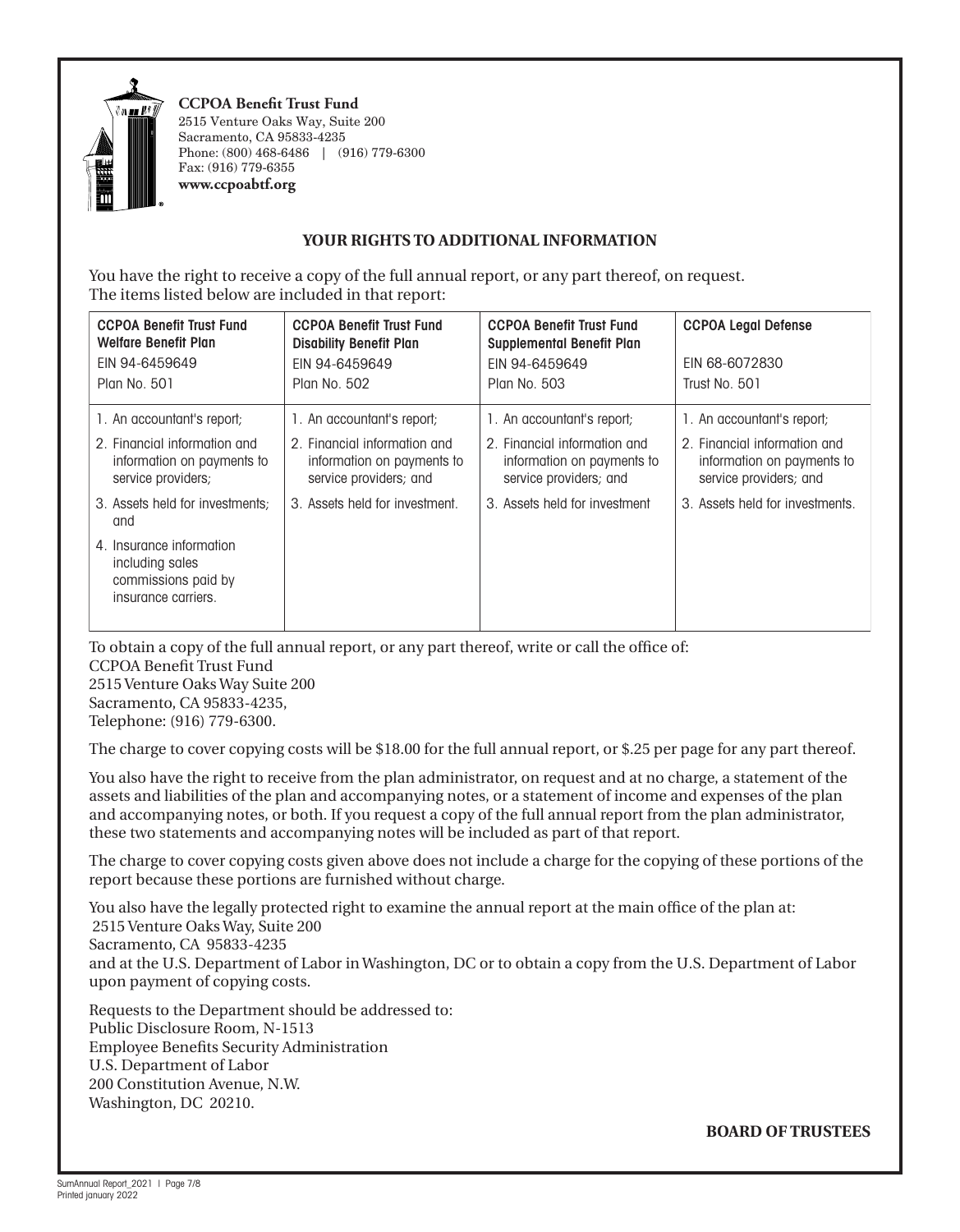

#### **YOUR RIGHTS TO ADDITIONAL INFORMATION**

You have the right to receive a copy of the full annual report, or any part thereof, on request. The items listed below are included in that report:

| <b>CCPOA Benefit Trust Fund</b><br><b>Welfare Benefit Plan</b><br>EIN 94-6459649<br>Plan No. 501 | <b>CCPOA Benefit Trust Fund</b><br><b>Disability Benefit Plan</b><br>EIN 94-6459649<br>Plan No. 502 | <b>CCPOA Benefit Trust Fund</b><br><b>Supplemental Benefit Plan</b><br>EIN 94-6459649<br>Plan No. 503 | <b>CCPOA Legal Defense</b><br>EIN 68-6072830<br>Trust No. 501                        |
|--------------------------------------------------------------------------------------------------|-----------------------------------------------------------------------------------------------------|-------------------------------------------------------------------------------------------------------|--------------------------------------------------------------------------------------|
| 1. An accountant's report;                                                                       | 1. An accountant's report;                                                                          | 1. An accountant's report;                                                                            | 1. An accountant's report;                                                           |
| 2. Financial information and<br>information on payments to<br>service providers;                 | 2. Financial information and<br>information on payments to<br>service providers; and                | 2. Financial information and<br>information on payments to<br>service providers; and                  | 2. Financial information and<br>information on payments to<br>service providers; and |
| 3. Assets held for investments:<br>and                                                           | 3. Assets held for investment.                                                                      | 3. Assets held for investment                                                                         | 3. Assets held for investments.                                                      |
| 4. Insurance information<br>including sales<br>commissions paid by<br>insurance carriers.        |                                                                                                     |                                                                                                       |                                                                                      |

To obtain a copy of the full annual report, or any part thereof, write or call the office of:

CCPOA Benefit Trust Fund 2515 Venture Oaks Way Suite 200 Sacramento, CA 95833-4235,

Telephone: (916) 779-6300.

The charge to cover copying costs will be \$18.00 for the full annual report, or \$.25 per page for any part thereof.

You also have the right to receive from the plan administrator, on request and at no charge, a statement of the assets and liabilities of the plan and accompanying notes, or a statement of income and expenses of the plan and accompanying notes, or both. If you request a copy of the full annual report from the plan administrator, these two statements and accompanying notes will be included as part of that report.

The charge to cover copying costs given above does not include a charge for the copying of these portions of the report because these portions are furnished without charge.

You also have the legally protected right to examine the annual report at the main office of the plan at: 2515 Venture Oaks Way, Suite 200 Sacramento, CA 95833-4235 and at the U.S. Department of Labor in Washington, DC or to obtain a copy from the U.S. Department of Labor upon payment of copying costs.

Requests to the Department should be addressed to: Public Disclosure Room, N-1513 Employee Benefits Security Administration U.S. Department of Labor 200 Constitution Avenue, N.W. Washington, DC 20210.

**BOARD OF TRUSTEES**